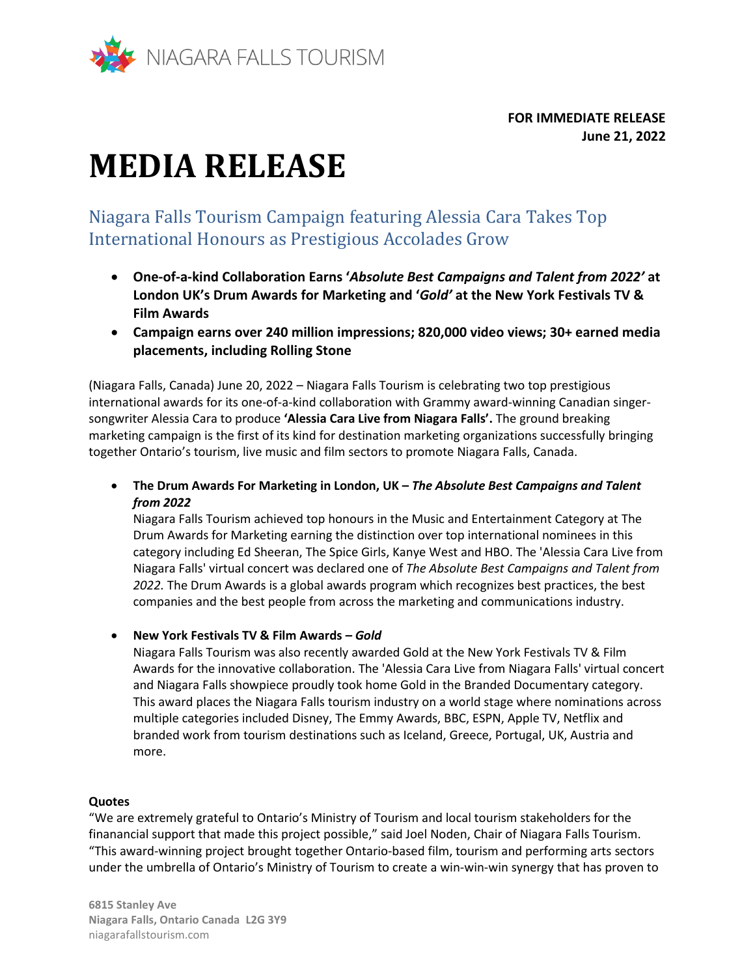

**FOR IMMEDIATE RELEASE June 21, 2022**

# **MEDIA RELEASE**

Niagara Falls Tourism Campaign featuring Alessia Cara Takes Top International Honours as Prestigious Accolades Grow

- **One-of-a-kind Collaboration Earns '***Absolute Best Campaigns and Talent from 2022'* **at London UK's Drum Awards for Marketing and '***Gold'* **at the New York Festivals TV & Film Awards**
- **Campaign earns over 240 million impressions; 820,000 video views; 30+ earned media placements, including Rolling Stone**

(Niagara Falls, Canada) June 20, 2022 – Niagara Falls Tourism is celebrating two top prestigious international awards for its one-of-a-kind collaboration with Grammy award-winning Canadian singersongwriter Alessia Cara to produce **'Alessia Cara Live from Niagara Falls'.** The ground breaking marketing campaign is the first of its kind for destination marketing organizations successfully bringing together Ontario's tourism, live music and film sectors to promote Niagara Falls, Canada.

• **The Drum Awards For Marketing in London, UK –** *The Absolute Best Campaigns and Talent from 2022*

Niagara Falls Tourism achieved top honours in the Music and Entertainment Category at The Drum Awards for Marketing earning the distinction over top international nominees in this category including Ed Sheeran, The Spice Girls, Kanye West and HBO. The 'Alessia Cara Live from Niagara Falls' virtual concert was declared one of *The Absolute Best Campaigns and Talent from 2022.* The Drum Awards is a global awards program which recognizes best practices, the best companies and the best people from across the marketing and communications industry.

• **New York Festivals TV & Film Awards –** *Gold*

Niagara Falls Tourism was also recently awarded Gold at the New York Festivals TV & Film Awards for the innovative collaboration. The 'Alessia Cara Live from Niagara Falls' virtual concert and Niagara Falls showpiece proudly took home Gold in the Branded Documentary category. This award places the Niagara Falls tourism industry on a world stage where nominations across multiple categories included Disney, The Emmy Awards, BBC, ESPN, Apple TV, Netflix and branded work from tourism destinations such as Iceland, Greece, Portugal, UK, Austria and more.

## **Quotes**

"We are extremely grateful to Ontario's Ministry of Tourism and local tourism stakeholders for the finanancial support that made this project possible," said Joel Noden, Chair of Niagara Falls Tourism. "This award-winning project brought together Ontario-based film, tourism and performing arts sectors under the umbrella of Ontario's Ministry of Tourism to create a win-win-win synergy that has proven to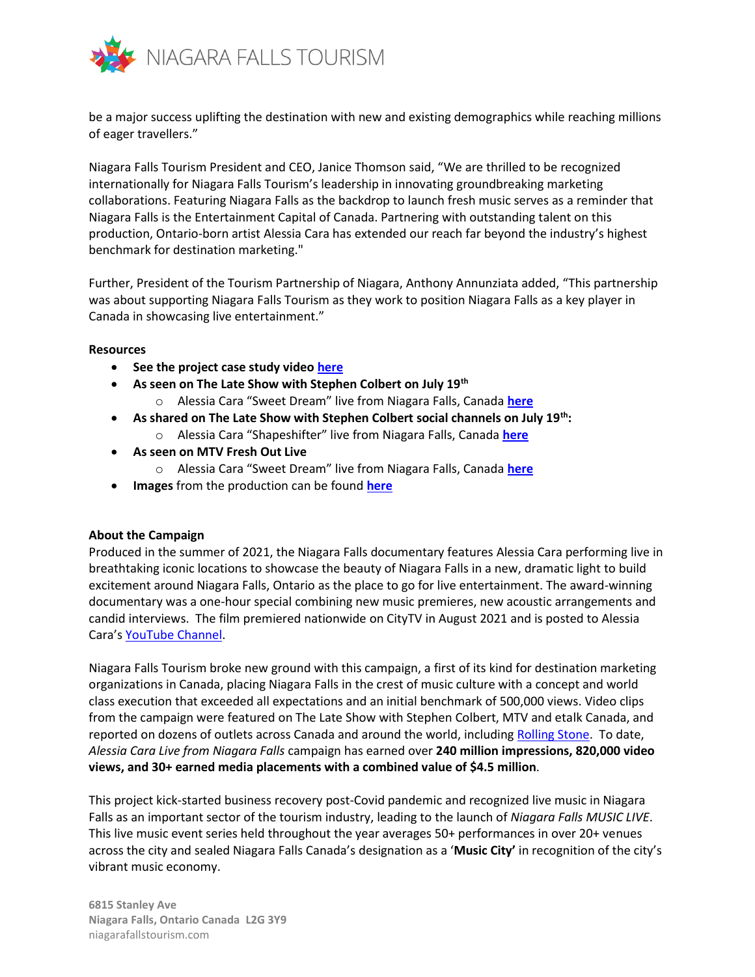

be a major success uplifting the destination with new and existing demographics while reaching millions of eager travellers."

Niagara Falls Tourism President and CEO, Janice Thomson said, "We are thrilled to be recognized internationally for Niagara Falls Tourism's leadership in innovating groundbreaking marketing collaborations. Featuring Niagara Falls as the backdrop to launch fresh music serves as a reminder that Niagara Falls is the Entertainment Capital of Canada. Partnering with outstanding talent on this production, Ontario-born artist Alessia Cara has extended our reach far beyond the industry's highest benchmark for destination marketing."

Further, President of the Tourism Partnership of Niagara, Anthony Annunziata added, "This partnership was about supporting Niagara Falls Tourism as they work to position Niagara Falls as a key player in Canada in showcasing live entertainment."

#### **Resources**

- **See the project case study video [here](https://niagarafallstourism-my.sharepoint.com/:v:/p/csuthons/EajfjfXr3xdGtDBGlwiJ1YEB5eGEPjjtG55dn5zcC0Y3EA?e=rTQnMm)**
- **As seen on The Late Show with Stephen Colbert on July 19th**
	- o Alessia Cara "Sweet Dream" live from Niagara Falls, Canada **[here](https://youtu.be/Az7fXOhneio)**
- **As shared on The Late Show with Stephen Colbert social channels on July 19th:** 
	- o Alessia Cara "Shapeshifter" live from Niagara Falls, Canada **[here](https://youtu.be/dfPKSBLZDQM)**
- **As seen on MTV Fresh Out Live**
	- o Alessia Cara "Sweet Dream" live from Niagara Falls, Canada **[here](file:///C:/Users/Chantal%20Suthons/AppData/Local/Microsoft/Windows/INetCache/Content.Outlook/QVJ44C7M/o%09https:/youtu.be/Y2dwtFVR4Oc)**
- **Images** from the production can be found **[here](https://can01.safelinks.protection.outlook.com/?url=http%3A%2F%2Flink.mediaoutreach.meltwater.com%2Fls%2Fclick%3Fupn%3Dx-2BswMZAP5qZXWg3NI1m88WlvgOzrQo6Q3-2FvBnMr-2BkcBmaDGjkHaJC5yuVvLQAk4LjbWGXZZ-2Fc1wszhVVY1lM2aRkI72wV-2F7LS63zJfPxkqhH-2Fu4cqKkQxTwUxeWVhGm4ot2-2BhqwjU53ZCShfGf6KP07c-2BTR-2BPW7CRDsqXCsVj-2Bw-3DRxjo_lUVMtjJYZeeA5pwCTSeCidxM4s7xTnj9Mlr2jb3sMME0dJwcD7v4LWGpniRvPEREs8rfLHTrZUdVGwGX9bvoO6ebyp4e65QUMLHa1sZeMFjfFcKsEWXaguTQr-2FhCglTuLEFH8bYv2lBs4QjEAFrK4Ks-2BSEigIki1GhjuTT6X29-2BPxYtAD4E1FW0CbQn5eQbQ2THEQcGlF0FnyOfXGdlfBKiHf768EpCB9-2Fkq70DaQw0ltWJPL-2FUMcGzeBpyuEgOVs8Dl4lQGPVhLZ3IlAadsqYfgdvKKvRwokA3yIHxAGa-2F6pNe-2Fp8ckGnePejvIqkrJh1ie8KnTI3rPDhtFogT-2Fjw7ripb5blmyX2o23aofgE45i2FDLoLMyHn3NtvavCT9D7d-2FZAmYGARyHJu7Czs-2FFw-3D-3D&data=04%7C01%7Cfil.martino%40rci.rogers.com%7C5c24ddb0f8224274d2ba08d96c013e78%7C0ab4cbbf4bc74826b52ca14fed5286b9%7C0%7C0%7C637659574971646597%7CUnknown%7CTWFpbGZsb3d8eyJWIjoiMC4wLjAwMDAiLCJQIjoiV2luMzIiLCJBTiI6Ik1haWwiLCJXVCI6Mn0%3D%7C1000&sdata=Zs4h8RLArtCcQOQuZQzX%2BHxv8V1wp26mUUpXGzHDXF4%3D&reserved=0)**

#### **About the Campaign**

Produced in the summer of 2021, the Niagara Falls documentary features Alessia Cara performing live in breathtaking iconic locations to showcase the beauty of Niagara Falls in a new, dramatic light to build excitement around Niagara Falls, Ontario as the place to go for live entertainment. The award-winning documentary was a one-hour special combining new music premieres, new acoustic arrangements and candid interviews. The film premiered nationwide on CityTV in August 2021 and is posted to Alessia Cara's [YouTube Channel.](https://youtu.be/89qmtYeic5g)

Niagara Falls Tourism broke new ground with this campaign, a first of its kind for destination marketing organizations in Canada, placing Niagara Falls in the crest of music culture with a concept and world class execution that exceeded all expectations and an initial benchmark of 500,000 views. Video clips from the campaign were featured on The Late Show with Stephen Colbert, MTV and etalk Canada, and reported on dozens of outlets across Canada and around the world, including [Rolling Stone.](https://www.rollingstone.com/music/music-news/alessia-cara-sweet-dream-shapeshifter-late-show-stephen-colbert-1199393/) To date, *Alessia Cara Live from Niagara Falls* campaign has earned over **240 million impressions, 820,000 video views, and 30+ earned media placements with a combined value of \$4.5 million**.

This project kick-started business recovery post-Covid pandemic and recognized live music in Niagara Falls as an important sector of the tourism industry, leading to the launch of *Niagara Falls MUSIC LIVE*. This live music event series held throughout the year averages 50+ performances in over 20+ venues across the city and sealed Niagara Falls Canada's designation as a '**Music City'** in recognition of the city's vibrant music economy.

**6815 Stanley Ave Niagara Falls, Ontario Canada L2G 3Y9** niagarafallstourism.com